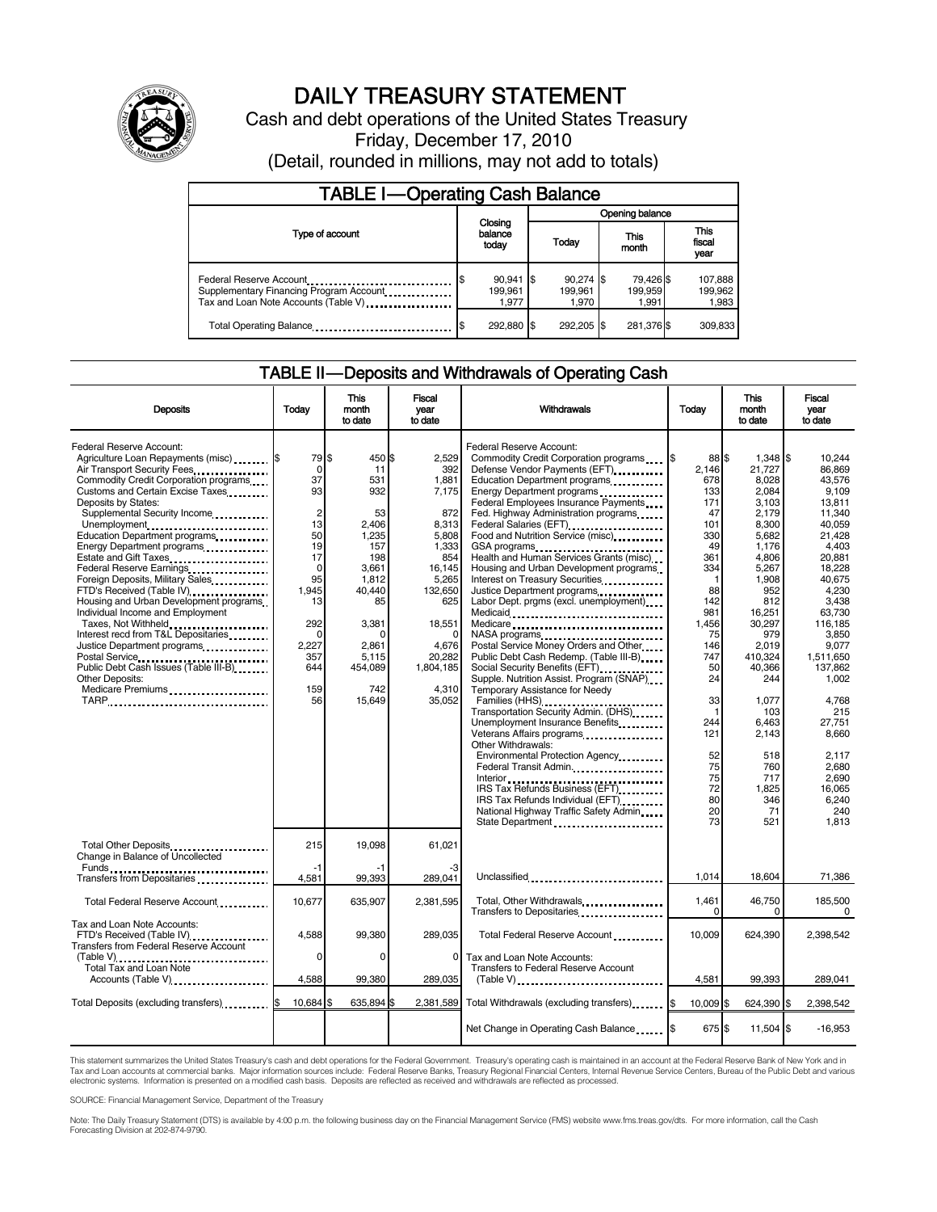

# DAILY TREASURY STATEMENT

Cash and debt operations of the United States Treasury Friday, December 17, 2010 (Detail, rounded in millions, may not add to totals)

| <b>TABLE I-Operating Cash Balance</b>                                                                      |                                      |                                 |                               |                               |  |  |  |
|------------------------------------------------------------------------------------------------------------|--------------------------------------|---------------------------------|-------------------------------|-------------------------------|--|--|--|
|                                                                                                            |                                      | Opening balance                 |                               |                               |  |  |  |
| Type of account                                                                                            | Closing<br>balance<br>today          | Today                           | This<br>month                 | <b>This</b><br>fiscal<br>year |  |  |  |
| Federal Reserve Account<br>Supplementary Financing Program Account<br>Tax and Loan Note Accounts (Table V) | $90,941$ \$<br>S<br>199.961<br>1.977 | $90,274$ \$<br>199.961<br>1.970 | 79,426 \$<br>199.959<br>1.991 | 107,888<br>199,962<br>1,983   |  |  |  |
| Total Operating Balance                                                                                    | 292,880 \$<br>S                      | 292.205                         | 281,376 \$                    | 309,833                       |  |  |  |

## TABLE II — Deposits and Withdrawals of Operating Cash

| <b>Deposits</b>                                                                                                                                                                                                                                                                                                                                                                                                                                                                                                                                                                                                                                                                                       | Today                                                                                                                                             | This<br>month<br>to date                                                                                                                                              | Fiscal<br>vear<br>to date                                                                                                                                                 | Withdrawals                                                                                                                                                                                                                                                                                                                                                                                                                                                                                                                                                                                                                                                                                                                                                                                                                                                                                                                                                                                                                                                             | This<br>Todav<br>month<br>to date                                                                                                                                                                                 |                                                                                                                                                                                                                                                                             |                                                                                                                                                                                                                                                                                                                     |  | Fiscal<br>year<br>to date |
|-------------------------------------------------------------------------------------------------------------------------------------------------------------------------------------------------------------------------------------------------------------------------------------------------------------------------------------------------------------------------------------------------------------------------------------------------------------------------------------------------------------------------------------------------------------------------------------------------------------------------------------------------------------------------------------------------------|---------------------------------------------------------------------------------------------------------------------------------------------------|-----------------------------------------------------------------------------------------------------------------------------------------------------------------------|---------------------------------------------------------------------------------------------------------------------------------------------------------------------------|-------------------------------------------------------------------------------------------------------------------------------------------------------------------------------------------------------------------------------------------------------------------------------------------------------------------------------------------------------------------------------------------------------------------------------------------------------------------------------------------------------------------------------------------------------------------------------------------------------------------------------------------------------------------------------------------------------------------------------------------------------------------------------------------------------------------------------------------------------------------------------------------------------------------------------------------------------------------------------------------------------------------------------------------------------------------------|-------------------------------------------------------------------------------------------------------------------------------------------------------------------------------------------------------------------|-----------------------------------------------------------------------------------------------------------------------------------------------------------------------------------------------------------------------------------------------------------------------------|---------------------------------------------------------------------------------------------------------------------------------------------------------------------------------------------------------------------------------------------------------------------------------------------------------------------|--|---------------------------|
| Federal Reserve Account:<br>Agriculture Loan Repayments (misc) \$<br>Air Transport Security Fees<br>Commodity Credit Corporation programs<br>Customs and Certain Excise Taxes<br>Deposits by States:<br>Supplemental Security Income<br>Unemployment<br>Education Department programs<br>Energy Department programs<br>Estate and Gift Taxes<br>Federal Reserve Earnings<br>Foreign Deposits, Military Sales<br>FTD's Received (Table IV)<br>Housing and Urban Development programs<br>Individual Income and Employment<br>Taxes, Not Withheld<br>Interest recd from T&L Depositaries<br>Justice Department programs<br>Public Debt Cash Issues (Table III-B)<br>Other Deposits:<br>Medicare Premiums | 79 \$<br>0<br>37<br>93<br>$\overline{c}$<br>13<br>50<br>19<br>17<br>0<br>95<br>1,945<br>13<br>292<br>$\Omega$<br>2,227<br>357<br>644<br>159<br>56 | 450 \$<br>11<br>531<br>932<br>53<br>2,406<br>1,235<br>157<br>198<br>3.661<br>1.812<br>40.440<br>85<br>3,381<br>$\Omega$<br>2,861<br>5,115<br>454,089<br>742<br>15.649 | 2.529<br>392<br>1,881<br>7,175<br>872<br>8,313<br>5,808<br>1,333<br>854<br>16,145<br>5,265<br>132,650<br>625<br>18,551<br>4,676<br>20,282<br>1,804,185<br>4,310<br>35,052 | Federal Reserve Account:<br>Defense Vendor Payments (EFT)<br>Education Department programs<br>Energy Department programs<br>Federal Employees Insurance Payments<br>Fed. Highway Administration programs<br>Federal Salaries (EFT)<br>Food and Nutrition Service (misc)<br>GSA programs<br>Health and Human Services Grants (misc)<br>Housing and Urban Development programs<br>Interest on Treasury Securities<br>Justice Department programs<br>Labor Dept. prgms (excl. unemployment)<br>Medicaid<br>Medicare<br>NASA programs<br>Postal Service Money Orders and Other<br>Public Debt Cash Redemp. (Table III-B)<br>Social Security Benefits (EFT)<br>Supple. Nutrition Assist. Program (SNAP)<br>Temporary Assistance for Needy<br>Transportation Security Admin. (DHS)<br>Unemployment Insurance Benefits<br>Veterans Affairs programs<br>x<br>Other Withdrawals:<br>Environmental Protection Agency<br>Federal Transit Admin.<br>IRS Tax Refunds Business (EFT)<br>IRS Tax Refunds Individual (EFT)<br>National Highway Traffic Safety Admin<br>State Department | 88 \$<br>2.146<br>678<br>133<br>171<br>47<br>101<br>330<br>49<br>361<br>334<br>-1<br>88<br>142<br>981<br>1,456<br>75<br>146<br>747<br>50<br>24<br>33<br>f<br>244<br>121<br>52<br>75<br>75<br>72<br>80<br>20<br>73 | 1.348<br>21,727<br>8,028<br>2,084<br>3.103<br>2,179<br>8,300<br>5,682<br>1,176<br>4,806<br>5,267<br>1,908<br>952<br>812<br>16,251<br>30,297<br>979<br>2,019<br>410,324<br>40,366<br>244<br>1.077<br>103<br>6,463<br>2,143<br>518<br>760<br>717<br>1,825<br>346<br>71<br>521 | \$<br>10.244<br>86,869<br>43.576<br>9.109<br>13.811<br>11,340<br>40.059<br>21,428<br>4,403<br>20,881<br>18.228<br>40.675<br>4,230<br>3,438<br>63.730<br>116,185<br>3.850<br>9,077<br>1,511,650<br>137,862<br>1,002<br>4.768<br>215<br>27,751<br>8,660<br>2.117<br>2,680<br>2,690<br>16,065<br>6,240<br>240<br>1.813 |  |                           |
| Total Other Deposits<br>Change in Balance of Uncollected                                                                                                                                                                                                                                                                                                                                                                                                                                                                                                                                                                                                                                              | 215<br>-1                                                                                                                                         | 19,098                                                                                                                                                                | 61,021                                                                                                                                                                    |                                                                                                                                                                                                                                                                                                                                                                                                                                                                                                                                                                                                                                                                                                                                                                                                                                                                                                                                                                                                                                                                         |                                                                                                                                                                                                                   |                                                                                                                                                                                                                                                                             |                                                                                                                                                                                                                                                                                                                     |  |                           |
| Transfers from Depositaries                                                                                                                                                                                                                                                                                                                                                                                                                                                                                                                                                                                                                                                                           | 4,581                                                                                                                                             | 99.393                                                                                                                                                                | 289.041                                                                                                                                                                   | Unclassified                                                                                                                                                                                                                                                                                                                                                                                                                                                                                                                                                                                                                                                                                                                                                                                                                                                                                                                                                                                                                                                            | 1,014                                                                                                                                                                                                             | 18,604                                                                                                                                                                                                                                                                      | 71,386                                                                                                                                                                                                                                                                                                              |  |                           |
| Total Federal Reserve Account                                                                                                                                                                                                                                                                                                                                                                                                                                                                                                                                                                                                                                                                         | 10,677                                                                                                                                            | 635,907                                                                                                                                                               | 2,381,595                                                                                                                                                                 | Total, Other Withdrawals<br>Transfers to Depositaries                                                                                                                                                                                                                                                                                                                                                                                                                                                                                                                                                                                                                                                                                                                                                                                                                                                                                                                                                                                                                   | 1,461<br>$\Omega$                                                                                                                                                                                                 | 46,750<br>$\Omega$                                                                                                                                                                                                                                                          | 185,500<br>0                                                                                                                                                                                                                                                                                                        |  |                           |
| Tax and Loan Note Accounts:<br>FTD's Received (Table IV)<br>Transfers from Federal Reserve Account<br>(Table V)<br>Total Tax and Loan Note                                                                                                                                                                                                                                                                                                                                                                                                                                                                                                                                                            | 4.588<br>0                                                                                                                                        | 99.380<br>0                                                                                                                                                           | 289.035<br>$\mathbf 0$                                                                                                                                                    | Total Federal Reserve Account<br>Tax and Loan Note Accounts:                                                                                                                                                                                                                                                                                                                                                                                                                                                                                                                                                                                                                                                                                                                                                                                                                                                                                                                                                                                                            | 10.009                                                                                                                                                                                                            | 624.390                                                                                                                                                                                                                                                                     | 2,398,542                                                                                                                                                                                                                                                                                                           |  |                           |
| Accounts (Table V)                                                                                                                                                                                                                                                                                                                                                                                                                                                                                                                                                                                                                                                                                    | 4,588                                                                                                                                             | 99,380                                                                                                                                                                | 289,035                                                                                                                                                                   | Transfers to Federal Reserve Account<br>$(Table V)$                                                                                                                                                                                                                                                                                                                                                                                                                                                                                                                                                                                                                                                                                                                                                                                                                                                                                                                                                                                                                     | 4,581                                                                                                                                                                                                             | 99,393                                                                                                                                                                                                                                                                      | 289,041                                                                                                                                                                                                                                                                                                             |  |                           |
| Total Deposits (excluding transfers) 5                                                                                                                                                                                                                                                                                                                                                                                                                                                                                                                                                                                                                                                                | 10,684 \$                                                                                                                                         | 635,894 \$                                                                                                                                                            | 2,381,589                                                                                                                                                                 | Total Withdrawals (excluding transfers) [ \$                                                                                                                                                                                                                                                                                                                                                                                                                                                                                                                                                                                                                                                                                                                                                                                                                                                                                                                                                                                                                            | 10.009 \$                                                                                                                                                                                                         | 624,390 \$                                                                                                                                                                                                                                                                  | 2,398,542                                                                                                                                                                                                                                                                                                           |  |                           |
|                                                                                                                                                                                                                                                                                                                                                                                                                                                                                                                                                                                                                                                                                                       |                                                                                                                                                   |                                                                                                                                                                       |                                                                                                                                                                           | Net Change in Operating Cash Balance                                                                                                                                                                                                                                                                                                                                                                                                                                                                                                                                                                                                                                                                                                                                                                                                                                                                                                                                                                                                                                    | 675 \$                                                                                                                                                                                                            | $11,504$ $\frac{1}{3}$                                                                                                                                                                                                                                                      | $-16,953$                                                                                                                                                                                                                                                                                                           |  |                           |

This statement summarizes the United States Treasury's cash and debt operations for the Federal Government. Treasury's operating cash is maintained in an account at the Federal Reserve Bank of New York and in<br>Tax and Loan

SOURCE: Financial Management Service, Department of the Treasury

Note: The Daily Treasury Statement (DTS) is available by 4:00 p.m. the following business day on the Financial Management Service (FMS) website www.fms.treas.gov/dts. For more information, call the Cash Forecasting Division at 202-874-9790.